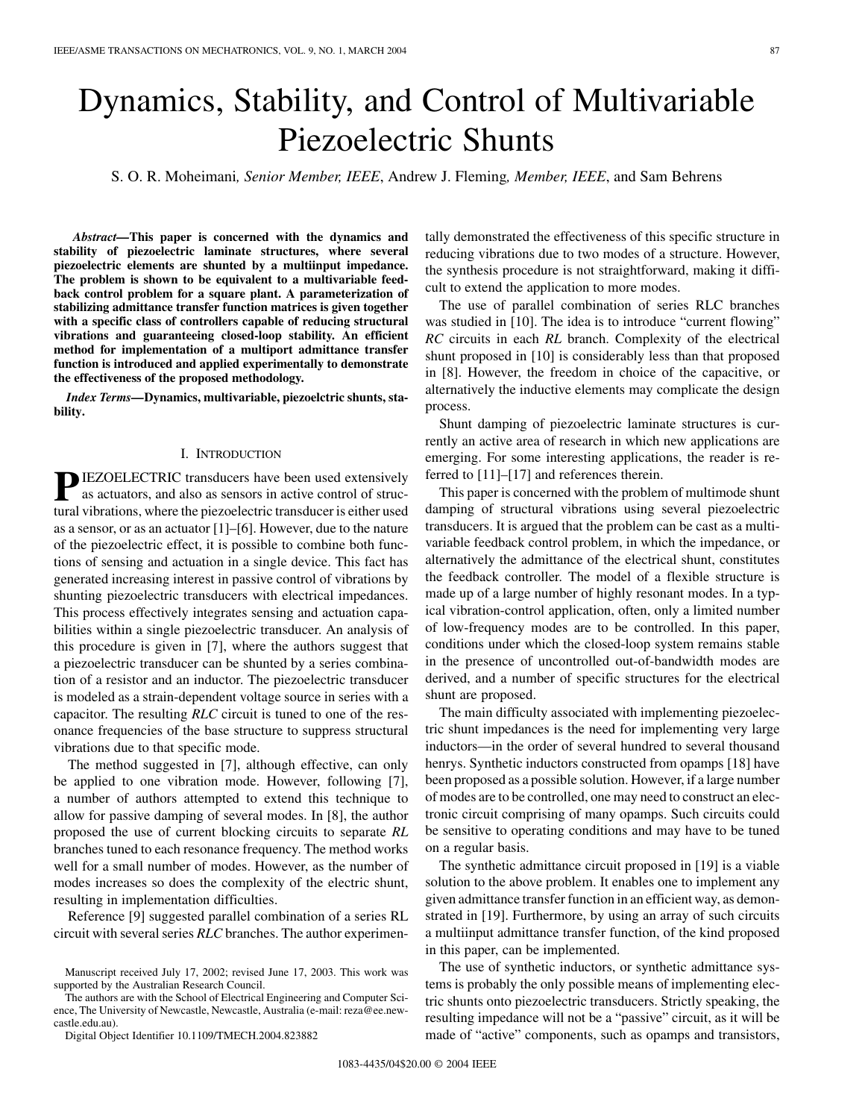# Dynamics, Stability, and Control of Multivariable Piezoelectric Shunts

S. O. R. Moheimani*, Senior Member, IEEE*, Andrew J. Fleming*, Member, IEEE*, and Sam Behrens

*Abstract—***This paper is concerned with the dynamics and stability of piezoelectric laminate structures, where several piezoelectric elements are shunted by a multiinput impedance. The problem is shown to be equivalent to a multivariable feedback control problem for a square plant. A parameterization of stabilizing admittance transfer function matrices is given together with a specific class of controllers capable of reducing structural vibrations and guaranteeing closed-loop stability. An efficient method for implementation of a multiport admittance transfer function is introduced and applied experimentally to demonstrate the effectiveness of the proposed methodology.**

*Index Terms—***Dynamics, multivariable, piezoelctric shunts, stability.**

#### I. INTRODUCTION

**P**IEZOELECTRIC transducers have been used extensively as actuators, and also as sensors in active control of structural vibrations, where the piezoelectric transducer is either used as a sensor, or as an actuator [\[1](#page-11-0)]–[[6\]](#page-11-0). However, due to the nature of the piezoelectric effect, it is possible to combine both functions of sensing and actuation in a single device. This fact has generated increasing interest in passive control of vibrations by shunting piezoelectric transducers with electrical impedances. This process effectively integrates sensing and actuation capabilities within a single piezoelectric transducer. An analysis of this procedure is given in [[7\]](#page-11-0), where the authors suggest that a piezoelectric transducer can be shunted by a series combination of a resistor and an inductor. The piezoelectric transducer is modeled as a strain-dependent voltage source in series with a capacitor. The resulting *RLC* circuit is tuned to one of the resonance frequencies of the base structure to suppress structural vibrations due to that specific mode.

The method suggested in [[7\]](#page-11-0), although effective, can only be applied to one vibration mode. However, following [\[7](#page-11-0)], a number of authors attempted to extend this technique to allow for passive damping of several modes. In [[8\]](#page-11-0), the author proposed the use of current blocking circuits to separate *RL* branches tuned to each resonance frequency. The method works well for a small number of modes. However, as the number of modes increases so does the complexity of the electric shunt, resulting in implementation difficulties.

Reference [[9](#page-11-0)] suggested parallel combination of a series RL circuit with several series *RLC* branches. The author experimen-

The authors are with the School of Electrical Engineering and Computer Science, The University of Newcastle, Newcastle, Australia (e-mail: reza@ee.newcastle.edu.au).

Digital Object Identifier 10.1109/TMECH.2004.823882

tally demonstrated the effectiveness of this specific structure in reducing vibrations due to two modes of a structure. However, the synthesis procedure is not straightforward, making it difficult to extend the application to more modes.

The use of parallel combination of series RLC branches was studied in [[10\]](#page-11-0). The idea is to introduce "current flowing" *RC* circuits in each *RL* branch. Complexity of the electrical shunt proposed in [\[10](#page-11-0)] is considerably less than that proposed in [\[8](#page-11-0)]. However, the freedom in choice of the capacitive, or alternatively the inductive elements may complicate the design process.

Shunt damping of piezoelectric laminate structures is currently an active area of research in which new applications are emerging. For some interesting applications, the reader is referred to [\[11](#page-11-0)]–[[17\]](#page-11-0) and references therein.

This paper is concerned with the problem of multimode shunt damping of structural vibrations using several piezoelectric transducers. It is argued that the problem can be cast as a multivariable feedback control problem, in which the impedance, or alternatively the admittance of the electrical shunt, constitutes the feedback controller. The model of a flexible structure is made up of a large number of highly resonant modes. In a typical vibration-control application, often, only a limited number of low-frequency modes are to be controlled. In this paper, conditions under which the closed-loop system remains stable in the presence of uncontrolled out-of-bandwidth modes are derived, and a number of specific structures for the electrical shunt are proposed.

The main difficulty associated with implementing piezoelectric shunt impedances is the need for implementing very large inductors—in the order of several hundred to several thousand henrys. Synthetic inductors constructed from opamps [\[18](#page-11-0)] have been proposed as a possible solution. However, if a large number of modes are to be controlled, one may need to construct an electronic circuit comprising of many opamps. Such circuits could be sensitive to operating conditions and may have to be tuned on a regular basis.

The synthetic admittance circuit proposed in [\[19](#page-11-0)] is a viable solution to the above problem. It enables one to implement any given admittance transfer function in an efficient way, as demonstrated in [\[19](#page-11-0)]. Furthermore, by using an array of such circuits a multiinput admittance transfer function, of the kind proposed in this paper, can be implemented.

The use of synthetic inductors, or synthetic admittance systems is probably the only possible means of implementing electric shunts onto piezoelectric transducers. Strictly speaking, the resulting impedance will not be a "passive" circuit, as it will be made of "active" components, such as opamps and transistors,

Manuscript received July 17, 2002; revised June 17, 2003. This work was supported by the Australian Research Council.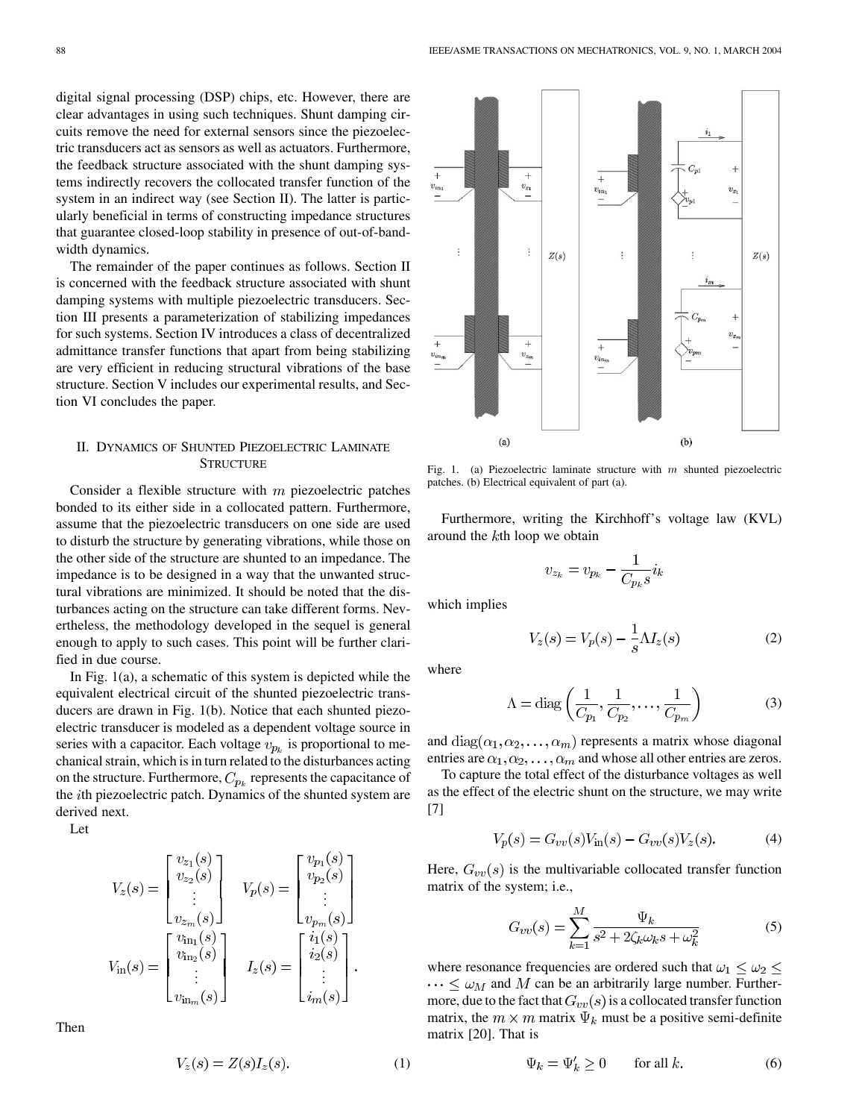digital signal processing (DSP) chips, etc. However, there are clear advantages in using such techniques. Shunt damping circuits remove the need for external sensors since the piezoelectric transducers act as sensors as well as actuators. Furthermore, the feedback structure associated with the shunt damping systems indirectly recovers the collocated transfer function of the system in an indirect way (see Section II). The latter is particularly beneficial in terms of constructing impedance structures that guarantee closed-loop stability in presence of out-of-bandwidth dynamics.

The remainder of the paper continues as follows. Section II is concerned with the feedback structure associated with shunt damping systems with multiple piezoelectric transducers. Section III presents a parameterization of stabilizing impedances for such systems. Section IV introduces a class of decentralized admittance transfer functions that apart from being stabilizing are very efficient in reducing structural vibrations of the base structure. Section V includes our experimental results, and Section VI concludes the paper.

# II. DYNAMICS OF SHUNTED PIEZOELECTRIC LAMINATE **STRUCTURE**

Consider a flexible structure with  $m$  piezoelectric patches bonded to its either side in a collocated pattern. Furthermore, assume that the piezoelectric transducers on one side are used to disturb the structure by generating vibrations, while those on the other side of the structure are shunted to an impedance. The impedance is to be designed in a way that the unwanted structural vibrations are minimized. It should be noted that the disturbances acting on the structure can take different forms. Nevertheless, the methodology developed in the sequel is general enough to apply to such cases. This point will be further clarified in due course.

In Fig. 1(a), a schematic of this system is depicted while the equivalent electrical circuit of the shunted piezoelectric transducers are drawn in Fig. 1(b). Notice that each shunted piezoelectric transducer is modeled as a dependent voltage source in series with a capacitor. Each voltage  $v_{p_k}$  is proportional to mechanical strain, which is in turn related to the disturbances acting on the structure. Furthermore,  $C_{p_k}$  represents the capacitance of the *i*th piezoelectric patch. Dynamics of the shunted system are derived next.

Let

$$
V_z(s) = \begin{bmatrix} v_{z_1}(s) \\ v_{z_2}(s) \\ \vdots \\ v_{z_m}(s) \end{bmatrix} \quad V_p(s) = \begin{bmatrix} v_{p_1}(s) \\ v_{p_2}(s) \\ \vdots \\ v_{p_m}(s) \end{bmatrix}
$$

$$
V_{\text{in}}(s) = \begin{bmatrix} v_{\text{in}_1}(s) \\ v_{\text{in}_2}(s) \\ \vdots \\ v_{\text{in}_m}(s) \end{bmatrix} \quad I_z(s) = \begin{bmatrix} i_1(s) \\ i_2(s) \\ \vdots \\ i_m(s) \end{bmatrix}.
$$

Then

$$
V_z(s) = Z(s)I_z(s). \tag{1}
$$



Fig. 1. (a) Piezoelectric laminate structure with  $m$  shunted piezoelectric patches. (b) Electrical equivalent of part (a).

Furthermore, writing the Kirchhoff's voltage law (KVL) around the  $k$ th loop we obtain

$$
v_{z_k} = v_{p_k} - \frac{1}{C_{p_k} s} i_k
$$

which implies

$$
V_z(s) = V_p(s) - \frac{1}{s} \Lambda I_z(s)
$$
\n(2)

where

$$
\Lambda = \text{diag}\left(\frac{1}{C_{p_1}}, \frac{1}{C_{p_2}}, \dots, \frac{1}{C_{p_m}}\right) \tag{3}
$$

and  $diag(\alpha_1, \alpha_2, \ldots, \alpha_m)$  represents a matrix whose diagonal entries are  $\alpha_1, \alpha_2, \ldots, \alpha_m$  and whose all other entries are zeros.

To capture the total effect of the disturbance voltages as well as the effect of the electric shunt on the structure, we may write [[7\]](#page-11-0)

$$
V_p(s) = G_{vv}(s)V_{\rm in}(s) - G_{vv}(s)V_z(s).
$$
 (4)

Here,  $G_{vv}(s)$  is the multivariable collocated transfer function matrix of the system; i.e.,

$$
G_{vv}(s) = \sum_{k=1}^{M} \frac{\Psi_k}{s^2 + 2\zeta_k \omega_k s + \omega_k^2}
$$
 (5)

where resonance frequencies are ordered such that  $\omega_1 \leq \omega_2 \leq$  $\cdots \leq \omega_M$  and M can be an arbitrarily large number. Furthermore, due to the fact that  $G_{vv}(s)$  is a collocated transfer function matrix, the  $m \times m$  matrix  $\Psi_k$  must be a positive semi-definite matrix [[20\]](#page-11-0). That is

$$
\Psi_k = \Psi'_k \ge 0 \qquad \text{for all } k. \tag{6}
$$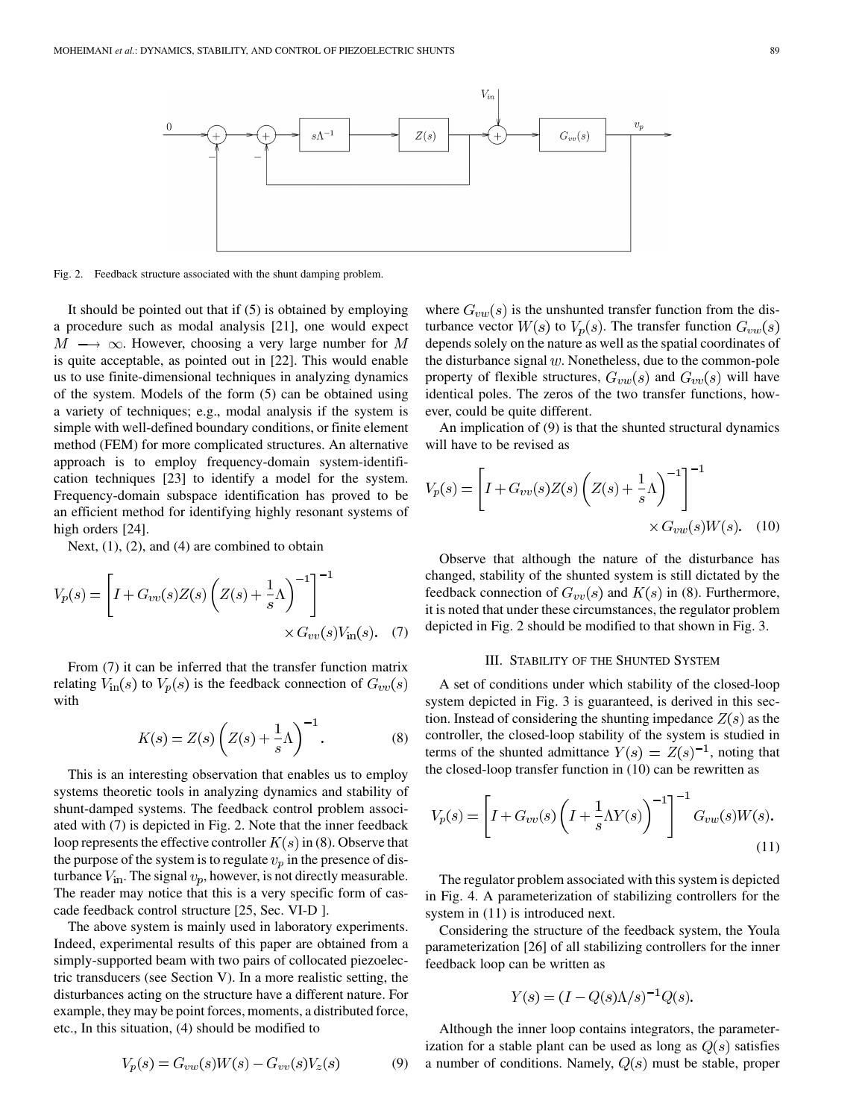

Fig. 2. Feedback structure associated with the shunt damping problem.

It should be pointed out that if (5) is obtained by employing a procedure such as modal analysis [\[21](#page-11-0)], one would expect  $M \longrightarrow \infty$ . However, choosing a very large number for M is quite acceptable, as pointed out in [[22\]](#page-11-0). This would enable us to use finite-dimensional techniques in analyzing dynamics of the system. Models of the form (5) can be obtained using a variety of techniques; e.g., modal analysis if the system is simple with well-defined boundary conditions, or finite element method (FEM) for more complicated structures. An alternative approach is to employ frequency-domain system-identification techniques [[23](#page-11-0)] to identify a model for the system. Frequency-domain subspace identification has proved to be an efficient method for identifying highly resonant systems of high orders [[24\]](#page-11-0).

Next,  $(1)$ ,  $(2)$ , and  $(4)$  are combined to obtain

$$
V_p(s) = \left[ I + G_{vv}(s)Z(s) \left( Z(s) + \frac{1}{s} \Lambda \right)^{-1} \right]^{-1} \times G_{vv}(s) V_{\text{in}}(s). \quad (7)
$$

From (7) it can be inferred that the transfer function matrix relating  $V_{\text{in}}(s)$  to  $V_p(s)$  is the feedback connection of  $G_{vv}(s)$ with

$$
K(s) = Z(s) \left( Z(s) + \frac{1}{s} \Lambda \right)^{-1}.
$$
 (8)

This is an interesting observation that enables us to employ systems theoretic tools in analyzing dynamics and stability of shunt-damped systems. The feedback control problem associated with (7) is depicted in Fig. 2. Note that the inner feedback loop represents the effective controller  $K(s)$  in (8). Observe that the purpose of the system is to regulate  $v_p$  in the presence of disturbance  $V_{\text{in}}$ . The signal  $v_p$ , however, is not directly measurable. The reader may notice that this is a very specific form of cascade feedback control structure [\[25](#page-11-0), Sec. VI-D ].

The above system is mainly used in laboratory experiments. Indeed, experimental results of this paper are obtained from a simply-supported beam with two pairs of collocated piezoelectric transducers (see Section V). In a more realistic setting, the disturbances acting on the structure have a different nature. For example, they may be point forces, moments, a distributed force, etc., In this situation, (4) should be modified to

$$
V_p(s) = G_{vw}(s)W(s) - G_{vv}(s)V_z(s)
$$
(9)

where  $G_{vw}(s)$  is the unshunted transfer function from the disturbance vector  $W(s)$  to  $V_p(s)$ . The transfer function  $G_{vw}(s)$ depends solely on the nature as well as the spatial coordinates of the disturbance signal  $w$ . Nonetheless, due to the common-pole property of flexible structures,  $G_{vw}(s)$  and  $G_{vv}(s)$  will have identical poles. The zeros of the two transfer functions, however, could be quite different.

An implication of (9) is that the shunted structural dynamics will have to be revised as

$$
V_p(s) = \left[ I + G_{vv}(s)Z(s) \left( Z(s) + \frac{1}{s} \Lambda \right)^{-1} \right]^{-1}
$$
  
×  $G_{vw}(s)W(s)$ . (10)

Observe that although the nature of the disturbance has changed, stability of the shunted system is still dictated by the feedback connection of  $G_{vv}(s)$  and  $K(s)$  in (8). Furthermore, it is noted that under these circumstances, the regulator problem depicted in Fig. 2 should be modified to that shown in Fig. 3.

## III. STABILITY OF THE SHUNTED SYSTEM

A set of conditions under which stability of the closed-loop system depicted in Fig. 3 is guaranteed, is derived in this section. Instead of considering the shunting impedance  $Z(s)$  as the controller, the closed-loop stability of the system is studied in terms of the shunted admittance  $Y(s) = Z(s)^{-1}$ , noting that the closed-loop transfer function in (10) can be rewritten as

$$
V_p(s) = \left[ I + G_{vv}(s) \left( I + \frac{1}{s} \Lambda Y(s) \right)^{-1} \right]^{-1} G_{vw}(s) W(s).
$$
\n(11)

The regulator problem associated with this system is depicted in Fig. 4. A parameterization of stabilizing controllers for the system in  $(11)$  is introduced next.

Considering the structure of the feedback system, the Youla parameterization [[26\]](#page-11-0) of all stabilizing controllers for the inner feedback loop can be written as

$$
Y(s) = (I - Q(s)\Lambda/s)^{-1}Q(s).
$$

Although the inner loop contains integrators, the parameterization for a stable plant can be used as long as  $Q(s)$  satisfies a number of conditions. Namely,  $Q(s)$  must be stable, proper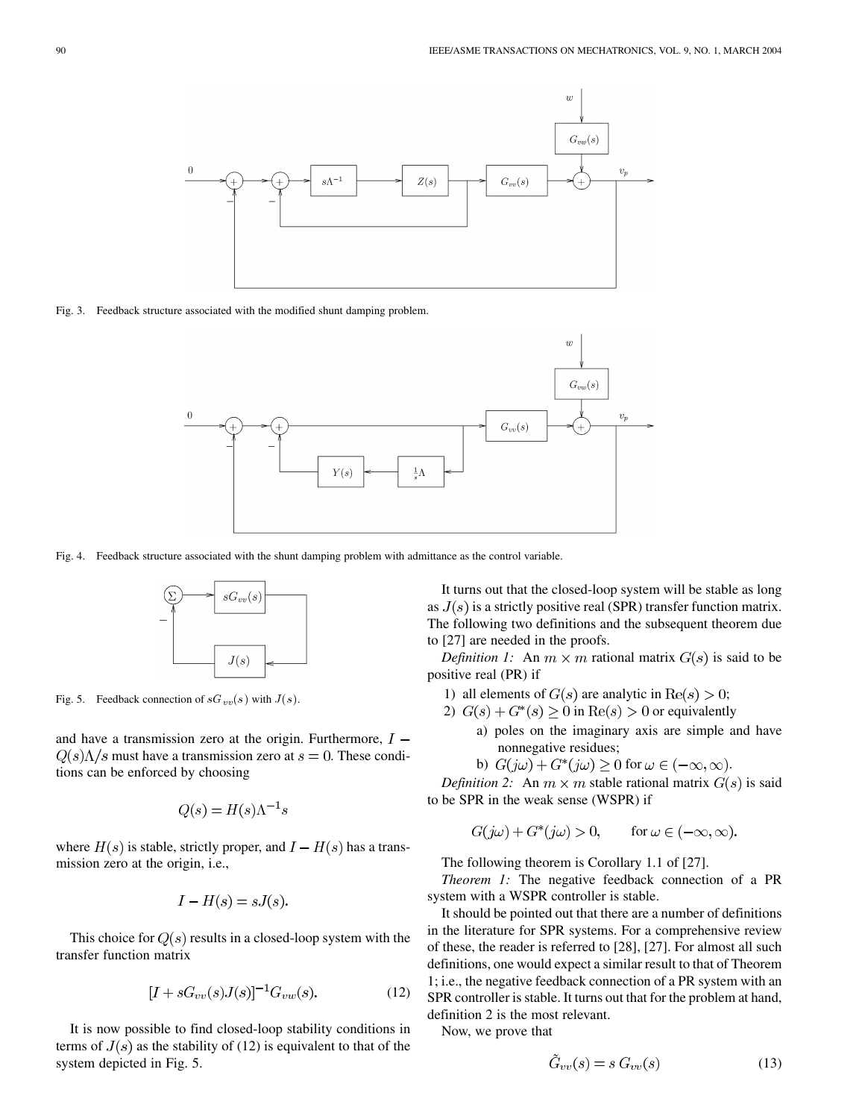

Fig. 3. Feedback structure associated with the modified shunt damping problem.



Fig. 4. Feedback structure associated with the shunt damping problem with admittance as the control variable.



Fig. 5. Feedback connection of  $sG_{vv}(s)$  with  $J(s)$ .

and have a transmission zero at the origin. Furthermore,  $I$  –  $Q(s)\Lambda/s$  must have a transmission zero at  $s = 0$ . These conditions can be enforced by choosing

$$
Q(s) = H(s)\Lambda^{-1}s
$$

where  $H(s)$  is stable, strictly proper, and  $I - H(s)$  has a transmission zero at the origin, i.e.,

$$
I - H(s) = sJ(s).
$$

This choice for  $Q(s)$  results in a closed-loop system with the transfer function matrix

$$
[I + sG_{vv}(s)J(s)]^{-1}G_{vw}(s).
$$
 (12)

It is now possible to find closed-loop stability conditions in terms of  $J(s)$  as the stability of (12) is equivalent to that of the system depicted in Fig. 5.

It turns out that the closed-loop system will be stable as long as  $J(s)$  is a strictly positive real (SPR) transfer function matrix. The following two definitions and the subsequent theorem due to [\[27](#page-11-0)] are needed in the proofs.

*Definition 1:* An  $m \times m$  rational matrix  $G(s)$  is said to be positive real (PR) if

- 1) all elements of  $G(s)$  are analytic in  $\text{Re}(s) > 0$ ;
- 2)  $G(s) + G^*(s) \ge 0$  in  $Re(s) > 0$  or equivalently
	- a) poles on the imaginary axis are simple and have nonnegative residues;
	- b)  $G(j\omega) + G^*(j\omega) \ge 0$  for  $\omega \in (-\infty, \infty)$ .

*Definition 2:* An  $m \times m$  stable rational matrix  $G(s)$  is said to be SPR in the weak sense (WSPR) if

$$
G(j\omega) + G^*(j\omega) > 0
$$
, for  $\omega \in (-\infty, \infty)$ .

The following theorem is Corollary 1.1 of [\[27](#page-11-0)].

*Theorem 1:* The negative feedback connection of a PR system with a WSPR controller is stable.

It should be pointed out that there are a number of definitions in the literature for SPR systems. For a comprehensive review of these, the reader is referred to [[28\]](#page-11-0), [\[27](#page-11-0)]. For almost all such definitions, one would expect a similar result to that of Theorem 1; i.e., the negative feedback connection of a PR system with an SPR controller is stable. It turns out that for the problem at hand, definition 2 is the most relevant.

Now, we prove that

$$
\tilde{G}_{vv}(s) = s \, G_{vv}(s) \tag{13}
$$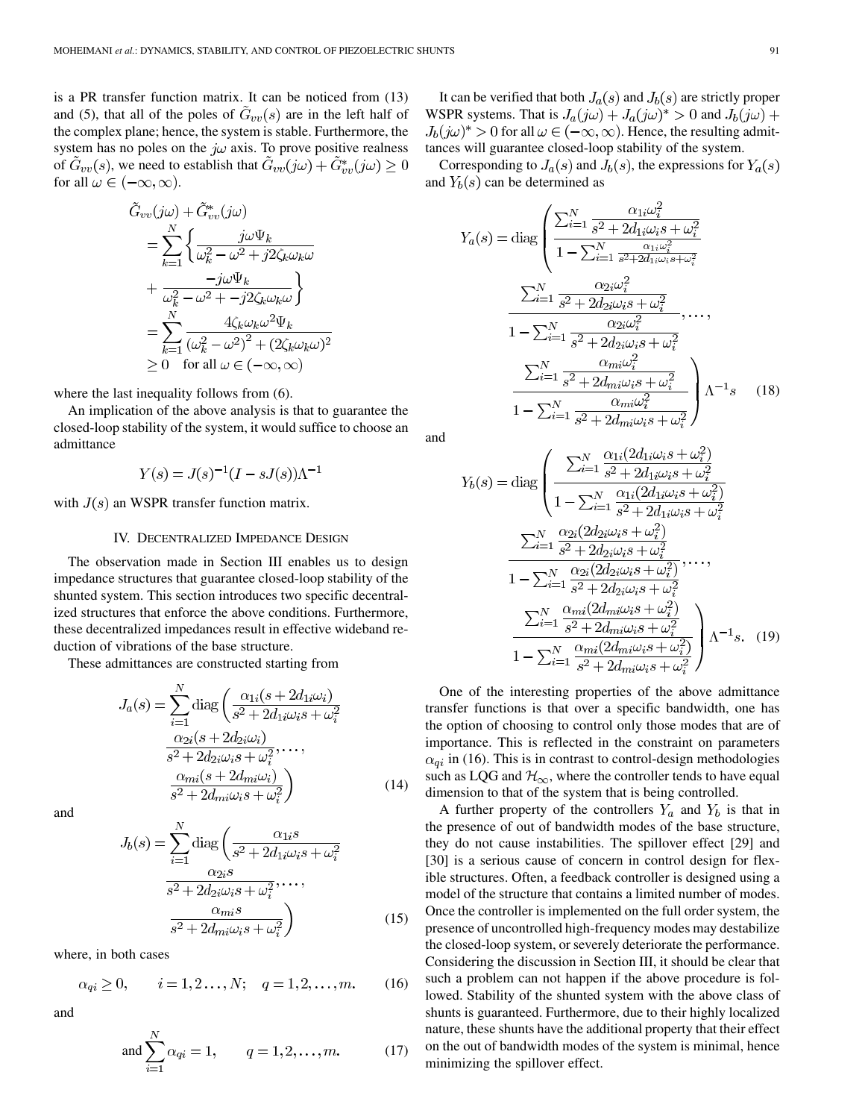is a PR transfer function matrix. It can be noticed from (13) and (5), that all of the poles of  $\tilde{G}_{vv}(s)$  are in the left half of the complex plane; hence, the system is stable. Furthermore, the system has no poles on the  $j\omega$  axis. To prove positive realness of  $\tilde{G}_{vv}(s)$ , we need to establish that  $\tilde{G}_{vv}(j\omega) + \tilde{G}_{vv}^*(j\omega) \geq 0$ for all  $\omega \in (-\infty, \infty)$ .

$$
\tilde{G}_{vv}(j\omega) + \tilde{G}_{vv}^*(j\omega)
$$
\n
$$
= \sum_{k=1}^N \left\{ \frac{j\omega\Psi_k}{\omega_k^2 - \omega^2 + j2\zeta_k\omega_k\omega} + \frac{-j\omega\Psi_k}{\omega_k^2 - \omega^2 + -j2\zeta_k\omega_k\omega} \right\}
$$
\n
$$
= \sum_{k=1}^N \frac{4\zeta_k\omega_k\omega^2\Psi_k}{(\omega_k^2 - \omega^2)^2 + (2\zeta_k\omega_k\omega)^2}
$$
\n
$$
\geq 0 \quad \text{for all } \omega \in (-\infty, \infty)
$$

where the last inequality follows from  $(6)$ .

An implication of the above analysis is that to guarantee the closed-loop stability of the system, it would suffice to choose an admittance

and

$$
Y(s) = J(s)^{-1}(I - sJ(s))\Lambda^{-1}
$$

with  $J(s)$  an WSPR transfer function matrix.

## IV. DECENTRALIZED IMPEDANCE DESIGN

The observation made in Section III enables us to design impedance structures that guarantee closed-loop stability of the shunted system. This section introduces two specific decentralized structures that enforce the above conditions. Furthermore, these decentralized impedances result in effective wideband reduction of vibrations of the base structure.

These admittances are constructed starting from

$$
J_a(s) = \sum_{i=1}^{N} \text{diag}\left(\frac{\alpha_{1i}(s + 2d_{1i}\omega_i)}{s^2 + 2d_{1i}\omega_i s + \omega_i^2}\right)
$$

$$
\frac{\alpha_{2i}(s + 2d_{2i}\omega_i)}{s^2 + 2d_{2i}\omega_i s + \omega_i^2}, \dots,
$$

$$
\frac{\alpha_{mi}(s + 2d_{mi}\omega_i)}{s^2 + 2d_{mi}\omega_i s + \omega_i^2}\right)
$$
(14)

and

$$
J_b(s) = \sum_{i=1}^{N} \text{diag}\left(\frac{\alpha_{1i}s}{s^2 + 2d_{1i}\omega_i s + \omega_i^2}\right)
$$

$$
\frac{\alpha_{2i}s}{s^2 + 2d_{2i}\omega_i s + \omega_i^2}, \dots,
$$

$$
\frac{\alpha_{mi}s}{s^2 + 2d_{mi}\omega_i s + \omega_i^2}\right)
$$
(15)

where, in both cases

$$
\alpha_{qi} \ge 0
$$
,  $i = 1, 2..., N$ ;  $q = 1, 2,..., m$ . (16)

and

and 
$$
\sum_{i=1}^{N} \alpha_{qi} = 1, \qquad q = 1, 2, ..., m.
$$
 (17)

It can be verified that both  $J_a(s)$  and  $J_b(s)$  are strictly proper WSPR systems. That is  $J_a(j\omega) + J_a(j\omega)^* > 0$  and  $J_b(j\omega)$  +  $J_b(j\omega)^* > 0$  for all  $\omega \in (-\infty, \infty)$ . Hence, the resulting admittances will guarantee closed-loop stability of the system.

Corresponding to  $J_a(s)$  and  $J_b(s)$ , the expressions for  $Y_a(s)$ and  $Y_b(s)$  can be determined as

$$
Y_a(s) = \text{diag}\left(\frac{\sum_{i=1}^{N} \frac{\alpha_{1i}\omega_i^2}{s^2 + 2d_{1i}\omega_i s + \omega_i^2}}{1 - \sum_{i=1}^{N} \frac{\alpha_{1i}\omega_i^2}{s^2 + 2d_{1i}\omega_i s + \omega_i^2}}\right)
$$

$$
\frac{\sum_{i=1}^{N} \frac{\alpha_{2i}\omega_i^2}{s^2 + 2d_{2i}\omega_i s + \omega_i^2}}{1 - \sum_{i=1}^{N} \frac{\alpha_{2i}\omega_i^2}{s^2 + 2d_{2i}\omega_i s + \omega_i^2}}, \dots,
$$

$$
\frac{\sum_{i=1}^{N} \frac{\alpha_{mi}\omega_i^2}{s^2 + 2d_{mi}\omega_i s + \omega_i^2}}{1 - \sum_{i=1}^{N} \frac{\alpha_{mi}\omega_i^2}{s^2 + 2d_{mi}\omega_i s + \omega_i^2}}\right) \Lambda^{-1}s \quad (18)
$$

$$
Y_b(s) = \text{diag}\left(\frac{\sum_{i=1}^{N} \frac{\alpha_{1i} (2d_{1i}\omega_i s + \omega_i^2)}{s^2 + 2d_{1i}\omega_i s + \omega_i^2}}{1 - \sum_{i=1}^{N} \frac{\alpha_{1i} (2d_{1i}\omega_i s + \omega_i^2)}{s^2 + 2d_{1i}\omega_i s + \omega_i^2}}\right)
$$

$$
\frac{\sum_{i=1}^{N} \frac{\alpha_{2i} (2d_{2i}\omega_i s + \omega_i^2)}{s^2 + 2d_{2i}\omega_i s + \omega_i^2}}{1 - \sum_{i=1}^{N} \frac{\alpha_{2i} (2d_{2i}\omega_i s + \omega_i^2)}{s^2 + 2d_{2i}\omega_i s + \omega_i^2}}, \dots,
$$

$$
\frac{\sum_{i=1}^{N} \frac{\alpha_{mi} (2d_{mi}\omega_i s + \omega_i^2)}{s^2 + 2d_{mi}\omega_i s + \omega_i^2}}{1 - \sum_{i=1}^{N} \frac{\alpha_{mi} (2d_{mi}\omega_i s + \omega_i^2)}{s^2 + 2d_{mi}\omega_i s + \omega_i^2}}\right) \Lambda^{-1}s. (19)
$$

One of the interesting properties of the above admittance transfer functions is that over a specific bandwidth, one has the option of choosing to control only those modes that are of importance. This is reflected in the constraint on parameters  $\alpha_{qi}$  in (16). This is in contrast to control-design methodologies such as LQG and  $\mathcal{H}_{\infty}$ , where the controller tends to have equal dimension to that of the system that is being controlled.

A further property of the controllers  $Y_a$  and  $Y_b$  is that in the presence of out of bandwidth modes of the base structure, they do not cause instabilities. The spillover effect [\[29](#page-11-0)] and [\[30](#page-11-0)] is a serious cause of concern in control design for flexible structures. Often, a feedback controller is designed using a model of the structure that contains a limited number of modes. Once the controller is implemented on the full order system, the presence of uncontrolled high-frequency modes may destabilize the closed-loop system, or severely deteriorate the performance. Considering the discussion in Section III, it should be clear that such a problem can not happen if the above procedure is followed. Stability of the shunted system with the above class of shunts is guaranteed. Furthermore, due to their highly localized nature, these shunts have the additional property that their effect on the out of bandwidth modes of the system is minimal, hence minimizing the spillover effect.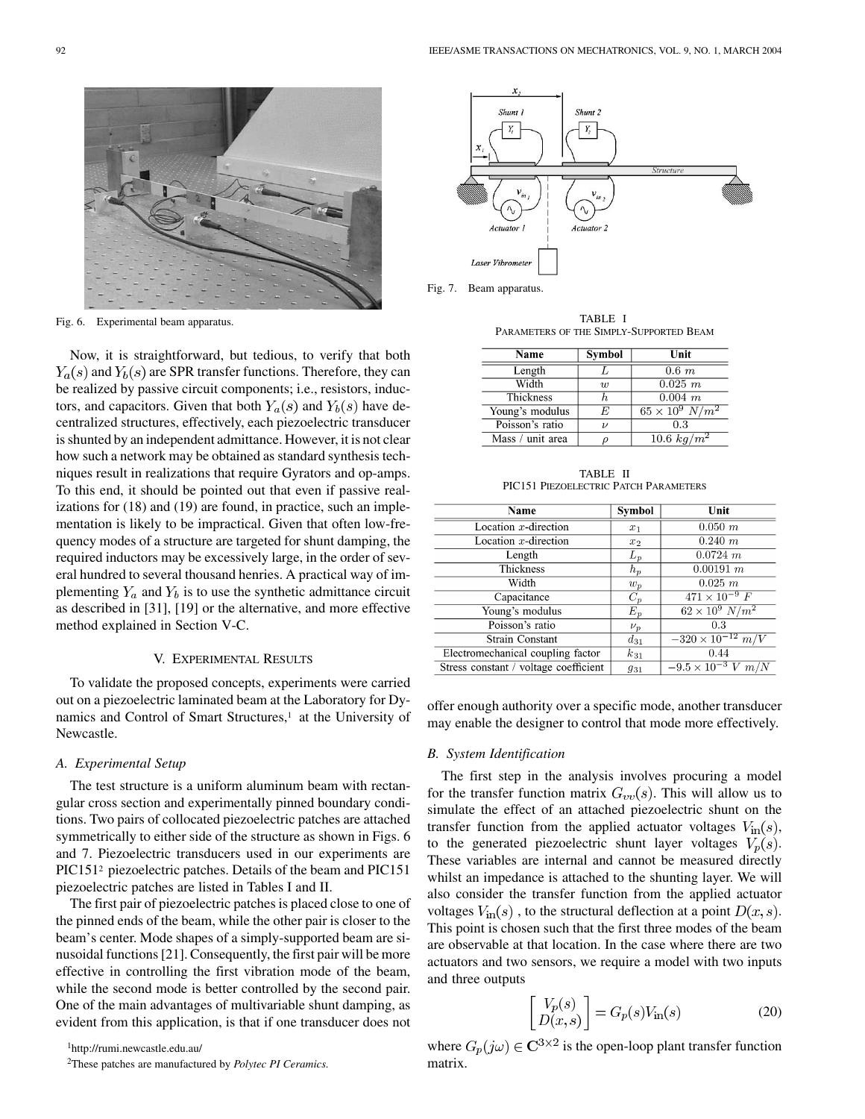

Fig. 6. Experimental beam apparatus.

Now, it is straightforward, but tedious, to verify that both  $Y_a(s)$  and  $Y_b(s)$  are SPR transfer functions. Therefore, they can be realized by passive circuit components; i.e., resistors, inductors, and capacitors. Given that both  $Y_a(s)$  and  $Y_b(s)$  have decentralized structures, effectively, each piezoelectric transducer is shunted by an independent admittance. However, it is not clear how such a network may be obtained as standard synthesis techniques result in realizations that require Gyrators and op-amps. To this end, it should be pointed out that even if passive realizations for (18) and (19) are found, in practice, such an implementation is likely to be impractical. Given that often low-frequency modes of a structure are targeted for shunt damping, the required inductors may be excessively large, in the order of several hundred to several thousand henries. A practical way of implementing  $Y_a$  and  $Y_b$  is to use the synthetic admittance circuit as described in [\[31](#page-11-0)], [\[19](#page-11-0)] or the alternative, and more effective method explained in Section V-C.

### V. EXPERIMENTAL RESULTS

To validate the proposed concepts, experiments were carried out on a piezoelectric laminated beam at the Laboratory for Dynamics and Control of Smart Structures,<sup>1</sup> at the University of Newcastle.

### *A. Experimental Setup*

The test structure is a uniform aluminum beam with rectangular cross section and experimentally pinned boundary conditions. Two pairs of collocated piezoelectric patches are attached symmetrically to either side of the structure as shown in Figs. 6 and 7. Piezoelectric transducers used in our experiments are PIC1512 piezoelectric patches. Details of the beam and PIC151 piezoelectric patches are listed in Tables I and II.

The first pair of piezoelectric patches is placed close to one of the pinned ends of the beam, while the other pair is closer to the beam's center. Mode shapes of a simply-supported beam are sinusoidal functions [\[21](#page-11-0)]. Consequently, the first pair will be more effective in controlling the first vibration mode of the beam, while the second mode is better controlled by the second pair. One of the main advantages of multivariable shunt damping, as evident from this application, is that if one transducer does not

1http://rumi.newcastle.edu.au/

2These patches are manufactured by *Polytec PI Ceramics.*



Fig. 7. Beam apparatus.

TABLE I PARAMETERS OF THE SIMPLY-SUPPORTED BEAM

| Name             | <b>Symbol</b>      | Unit                     |  |
|------------------|--------------------|--------------------------|--|
| Length           |                    | $0.6\;m$                 |  |
| Width            | $\boldsymbol{w}$   | 0.025 m                  |  |
| Thickness        | h                  | $0.004 \; m$             |  |
| Young's modulus  | E                  | $65 \times 10^9 \ N/m^2$ |  |
| Poisson's ratio  | $\boldsymbol{\nu}$ | 0.3                      |  |
| Mass / unit area |                    | 10.6 $kg/m^2$            |  |

TABLE II PIC151 PIEZOELECTRIC PATCH PARAMETERS

| Name                                  | <b>Symbol</b> | Unit                                     |  |
|---------------------------------------|---------------|------------------------------------------|--|
| Location $x$ -direction               | $x_1$         | 0.050 m                                  |  |
| Location $x$ -direction               | $x_2$         | 0.240 m                                  |  |
| Length                                | $L_p$         | 0.0724 m                                 |  |
| Thickness                             | $h_p$         | 0.00191 m                                |  |
| Width                                 | $w_p$         | $0.025$ $m$                              |  |
| Capacitance                           | $C_p$         | $471 \times 10^{-9} F$                   |  |
| Young's modulus                       | $E_p$         | $62 \times 10^9 \ N/m^2$                 |  |
| Poisson's ratio                       | $\nu_p$       | 0.3                                      |  |
| Strain Constant                       | $d_{31}$      | $-320 \times 10^{-12} \frac{m}{V}$       |  |
| Electromechanical coupling factor     | $k_{31}$      | 0.44                                     |  |
| Stress constant / voltage coefficient | $g_{31}$      | $-9.5 \times 10^{-3}$ V $\overline{m/N}$ |  |

offer enough authority over a specific mode, another transducer may enable the designer to control that mode more effectively.

# *B. System Identification*

The first step in the analysis involves procuring a model for the transfer function matrix  $G_{vv}(s)$ . This will allow us to simulate the effect of an attached piezoelectric shunt on the transfer function from the applied actuator voltages  $V_{\text{in}}(s)$ , to the generated piezoelectric shunt layer voltages  $V_p(s)$ . These variables are internal and cannot be measured directly whilst an impedance is attached to the shunting layer. We will also consider the transfer function from the applied actuator voltages  $V_{\text{in}}(s)$ , to the structural deflection at a point  $D(x, s)$ . This point is chosen such that the first three modes of the beam are observable at that location. In the case where there are two actuators and two sensors, we require a model with two inputs and three outputs

$$
\begin{bmatrix} V_p(s) \\ D(x,s) \end{bmatrix} = G_p(s) V_{\text{in}}(s)
$$
\n(20)

where  $G_p(j\omega) \in \mathbb{C}^{3 \times 2}$  is the open-loop plant transfer function matrix.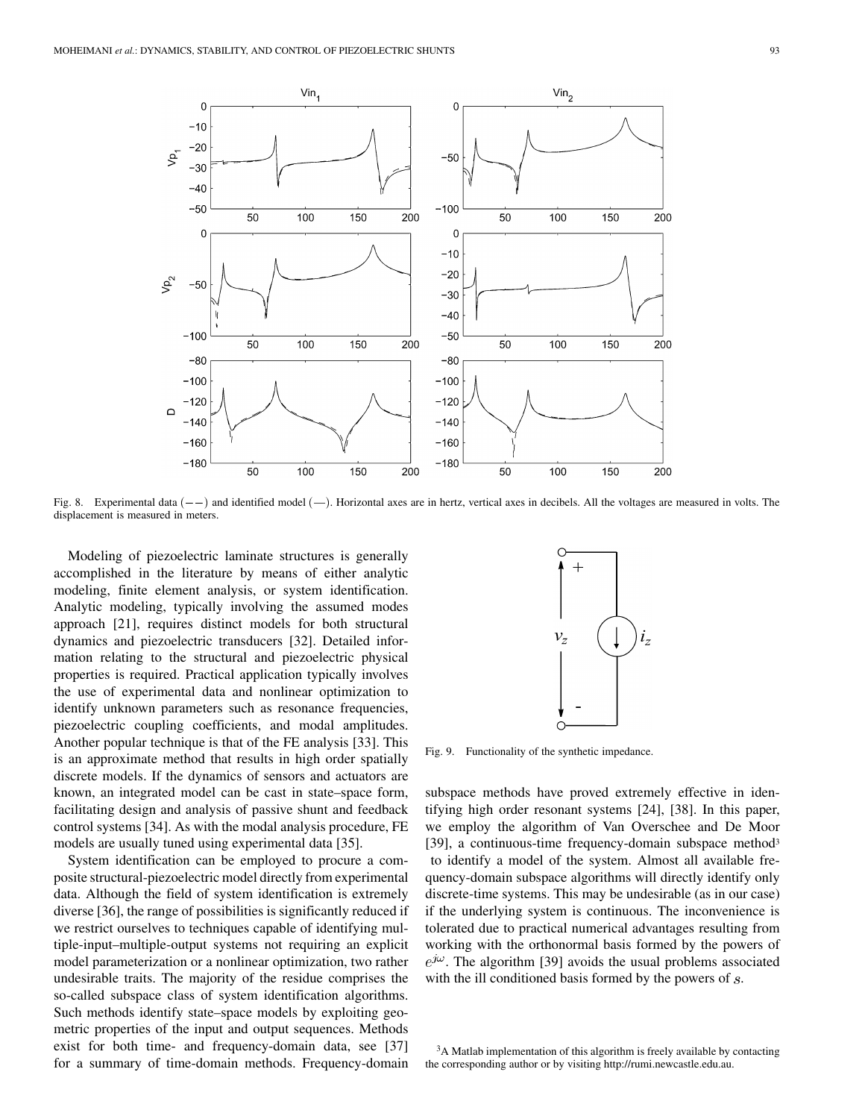

displacement is measured in meters.

Modeling of piezoelectric laminate structures is generally accomplished in the literature by means of either analytic modeling, finite element analysis, or system identification. Analytic modeling, typically involving the assumed modes approach [\[21](#page-11-0)], requires distinct models for both structural dynamics and piezoelectric transducers [\[32](#page-11-0)]. Detailed information relating to the structural and piezoelectric physical properties is required. Practical application typically involves the use of experimental data and nonlinear optimization to identify unknown parameters such as resonance frequencies, piezoelectric coupling coefficients, and modal amplitudes. Another popular technique is that of the FE analysis [\[33\]](#page-11-0). This is an approximate method that results in high order spatially discrete models. If the dynamics of sensors and actuators are known, an integrated model can be cast in state–space form, facilitating design and analysis of passive shunt and feedback control systems [[34\]](#page-11-0). As with the modal analysis procedure, FE models are usually tuned using experimental data [\[35](#page-11-0)].

System identification can be employed to procure a composite structural-piezoelectric model directly from experimental data. Although the field of system identification is extremely diverse [[36\]](#page-11-0), the range of possibilities is significantly reduced if we restrict ourselves to techniques capable of identifying multiple-input–multiple-output systems not requiring an explicit model parameterization or a nonlinear optimization, two rather undesirable traits. The majority of the residue comprises the so-called subspace class of system identification algorithms. Such methods identify state–space models by exploiting geometric properties of the input and output sequences. Methods exist for both time- and frequency-domain data, see [[37\]](#page-11-0) for a summary of time-domain methods. Frequency-domain



Fig. 9. Functionality of the synthetic impedance.

subspace methods have proved extremely effective in identifying high order resonant systems [[24\]](#page-11-0), [[38\]](#page-11-0). In this paper, we employ the algorithm of Van Overschee and De Moor [\[39](#page-11-0)], a continuous-time frequency-domain subspace method<sup>3</sup> to identify a model of the system. Almost all available frequency-domain subspace algorithms will directly identify only discrete-time systems. This may be undesirable (as in our case) if the underlying system is continuous. The inconvenience is tolerated due to practical numerical advantages resulting from working with the orthonormal basis formed by the powers of  $e^{j\omega}$ . The algorithm [\[39](#page-11-0)] avoids the usual problems associated with the ill conditioned basis formed by the powers of  $s$ .

<sup>3</sup>A Matlab implementation of this algorithm is freely available by contacting the corresponding author or by visiting http://rumi.newcastle.edu.au.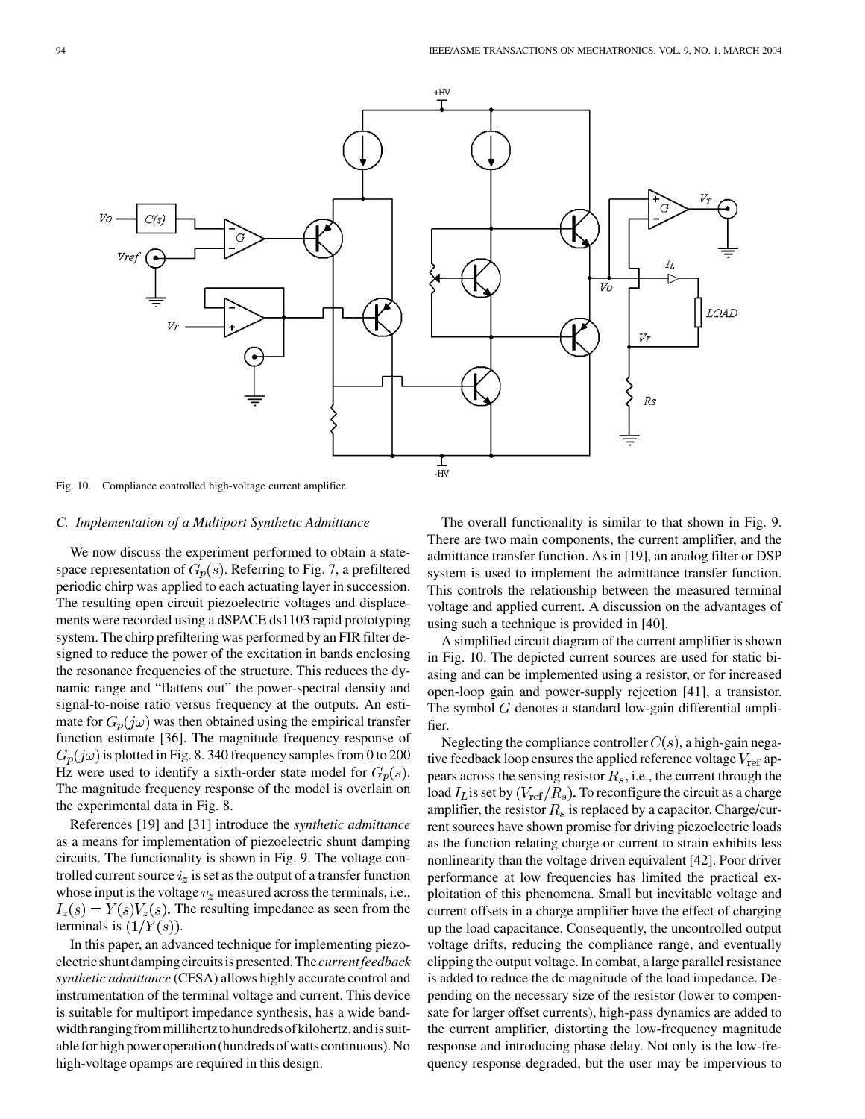

Fig. 10. Compliance controlled high-voltage current amplifier.

## *C. Implementation of a Multiport Synthetic Admittance*

We now discuss the experiment performed to obtain a statespace representation of  $G_p(s)$ . Referring to Fig. 7, a prefiltered periodic chirp was applied to each actuating layer in succession. The resulting open circuit piezoelectric voltages and displacements were recorded using a dSPACE ds1103 rapid prototyping system. The chirp prefiltering was performed by an FIR filter designed to reduce the power of the excitation in bands enclosing the resonance frequencies of the structure. This reduces the dynamic range and "flattens out" the power-spectral density and signal-to-noise ratio versus frequency at the outputs. An estimate for  $G_p(j\omega)$  was then obtained using the empirical transfer function estimate [[36\]](#page-11-0). The magnitude frequency response of  $G_p(j\omega)$  is plotted in Fig. 8. 340 frequency samples from 0 to 200 Hz were used to identify a sixth-order state model for  $G_p(s)$ . The magnitude frequency response of the model is overlain on the experimental data in Fig. 8.

References [[19\]](#page-11-0) and [[31\]](#page-11-0) introduce the *synthetic admittance* as a means for implementation of piezoelectric shunt damping circuits. The functionality is shown in Fig. 9. The voltage controlled current source  $i_z$  is set as the output of a transfer function whose input is the voltage  $v_z$  measured across the terminals, i.e.,  $I_z(s) = Y(s)V_z(s)$ . The resulting impedance as seen from the terminals is  $(1/Y(s))$ .

In this paper, an advanced technique for implementing piezoelectricshuntdampingcircuitsispresented.The *currentfeedback synthetic admittance* (CFSA) allows highly accurate control and instrumentation of the terminal voltage and current. This device is suitable for multiport impedance synthesis, has a wide bandwidth ranging from millihertz to hundreds of kilohertz, and is suitable for high power operation (hundreds of watts continuous). No high-voltage opamps are required in this design.

The overall functionality is similar to that shown in Fig. 9. There are two main components, the current amplifier, and the admittance transfer function. As in [\[19](#page-11-0)], an analog filter or DSP system is used to implement the admittance transfer function. This controls the relationship between the measured terminal voltage and applied current. A discussion on the advantages of using such a technique is provided in [\[40](#page-11-0)].

A simplified circuit diagram of the current amplifier is shown in Fig. 10. The depicted current sources are used for static biasing and can be implemented using a resistor, or for increased open-loop gain and power-supply rejection [[41\]](#page-11-0), a transistor. The symbol  $G$  denotes a standard low-gain differential amplifier.

Neglecting the compliance controller  $C(s)$ , a high-gain negative feedback loop ensures the applied reference voltage  $V_{\text{ref}}$  appears across the sensing resistor  $R_s$ , i.e., the current through the load  $I_L$  is set by  $(V_{\text{ref}}/R_s)$ . To reconfigure the circuit as a charge amplifier, the resistor  $R_s$  is replaced by a capacitor. Charge/current sources have shown promise for driving piezoelectric loads as the function relating charge or current to strain exhibits less nonlinearity than the voltage driven equivalent [\[42](#page-11-0)]. Poor driver performance at low frequencies has limited the practical exploitation of this phenomena. Small but inevitable voltage and current offsets in a charge amplifier have the effect of charging up the load capacitance. Consequently, the uncontrolled output voltage drifts, reducing the compliance range, and eventually clipping the output voltage. In combat, a large parallel resistance is added to reduce the dc magnitude of the load impedance. Depending on the necessary size of the resistor (lower to compensate for larger offset currents), high-pass dynamics are added to the current amplifier, distorting the low-frequency magnitude response and introducing phase delay. Not only is the low-frequency response degraded, but the user may be impervious to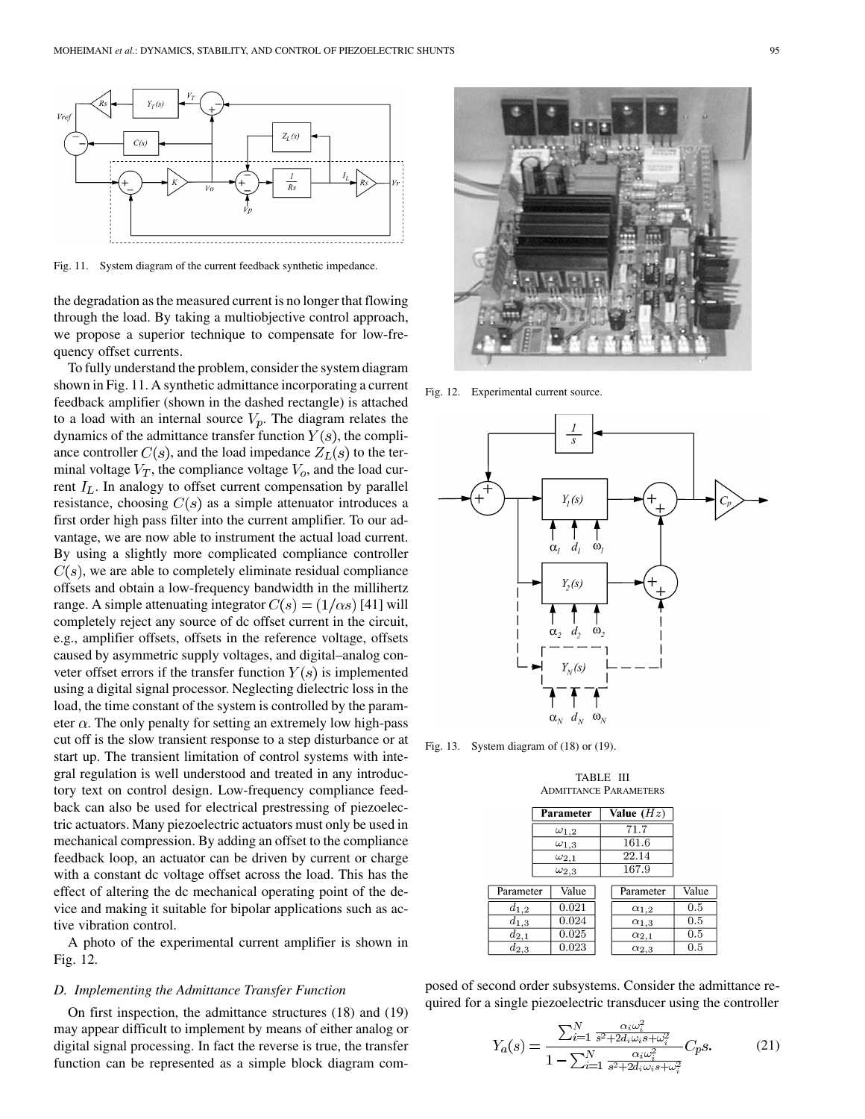

Fig. 11. System diagram of the current feedback synthetic impedance.

the degradation as the measured current is no longer that flowing through the load. By taking a multiobjective control approach, we propose a superior technique to compensate for low-frequency offset currents.

To fully understand the problem, consider the system diagram shown in Fig. 11. A synthetic admittance incorporating a current feedback amplifier (shown in the dashed rectangle) is attached to a load with an internal source  $V_p$ . The diagram relates the dynamics of the admittance transfer function  $Y(s)$ , the compliance controller  $C(s)$ , and the load impedance  $Z_L(s)$  to the terminal voltage  $V_T$ , the compliance voltage  $V_o$ , and the load current  $I_L$ . In analogy to offset current compensation by parallel resistance, choosing  $C(s)$  as a simple attenuator introduces a first order high pass filter into the current amplifier. To our advantage, we are now able to instrument the actual load current. By using a slightly more complicated compliance controller  $C(s)$ , we are able to completely eliminate residual compliance offsets and obtain a low-frequency bandwidth in the millihertz range. A simple attenuating integrator  $C(s) = (1/\alpha s)$  [\[41](#page-11-0)] will completely reject any source of dc offset current in the circuit, e.g., amplifier offsets, offsets in the reference voltage, offsets caused by asymmetric supply voltages, and digital–analog conveter offset errors if the transfer function  $Y(s)$  is implemented using a digital signal processor. Neglecting dielectric loss in the load, the time constant of the system is controlled by the parameter  $\alpha$ . The only penalty for setting an extremely low high-pass cut off is the slow transient response to a step disturbance or at start up. The transient limitation of control systems with integral regulation is well understood and treated in any introductory text on control design. Low-frequency compliance feedback can also be used for electrical prestressing of piezoelectric actuators. Many piezoelectric actuators must only be used in mechanical compression. By adding an offset to the compliance feedback loop, an actuator can be driven by current or charge with a constant dc voltage offset across the load. This has the effect of altering the dc mechanical operating point of the device and making it suitable for bipolar applications such as active vibration control.

A photo of the experimental current amplifier is shown in Fig. 12.

## *D. Implementing the Admittance Transfer Function*

On first inspection, the admittance structures (18) and (19) may appear difficult to implement by means of either analog or digital signal processing. In fact the reverse is true, the transfer function can be represented as a simple block diagram com-



Fig. 12. Experimental current source.



Fig. 13. System diagram of (18) or (19).

TABLE III ADMITTANCE PARAMETERS

|           | Parameter      |       | Value $(Hz)$   |       |
|-----------|----------------|-------|----------------|-------|
|           | $\omega_{1,2}$ |       | 71.7           |       |
|           | $\omega_{1,3}$ |       | 161.6          |       |
|           | $\omega_{2,1}$ |       | 22.14          |       |
|           | $\omega_{2,3}$ |       | 167.9          |       |
|           |                |       |                |       |
| Parameter |                | Value | Parameter      | Value |
| $d_{1,2}$ |                | 0.021 | $\alpha_{1,2}$ | 0.5   |
| $d_{1,3}$ |                | 0.024 | $\alpha_{1,3}$ | 0.5   |
| $d_{2,1}$ |                | 0.025 | $\alpha_{2,1}$ | 0.5   |
| $d_{2,3}$ |                | 0.023 | $\alpha_{2,3}$ | 0.5   |
|           |                |       |                |       |

posed of second order subsystems. Consider the admittance required for a single piezoelectric transducer using the controller

$$
Y_a(s) = \frac{\sum_{i=1}^{N} \frac{\alpha_i \omega_i^2}{s^2 + 2d_i \omega_i s + \omega_i^2}}{1 - \sum_{i=1}^{N} \frac{\alpha_i \omega_i^2}{s^2 + 2d_i \omega_i s + \omega_i^2}} C_p s.
$$
 (21)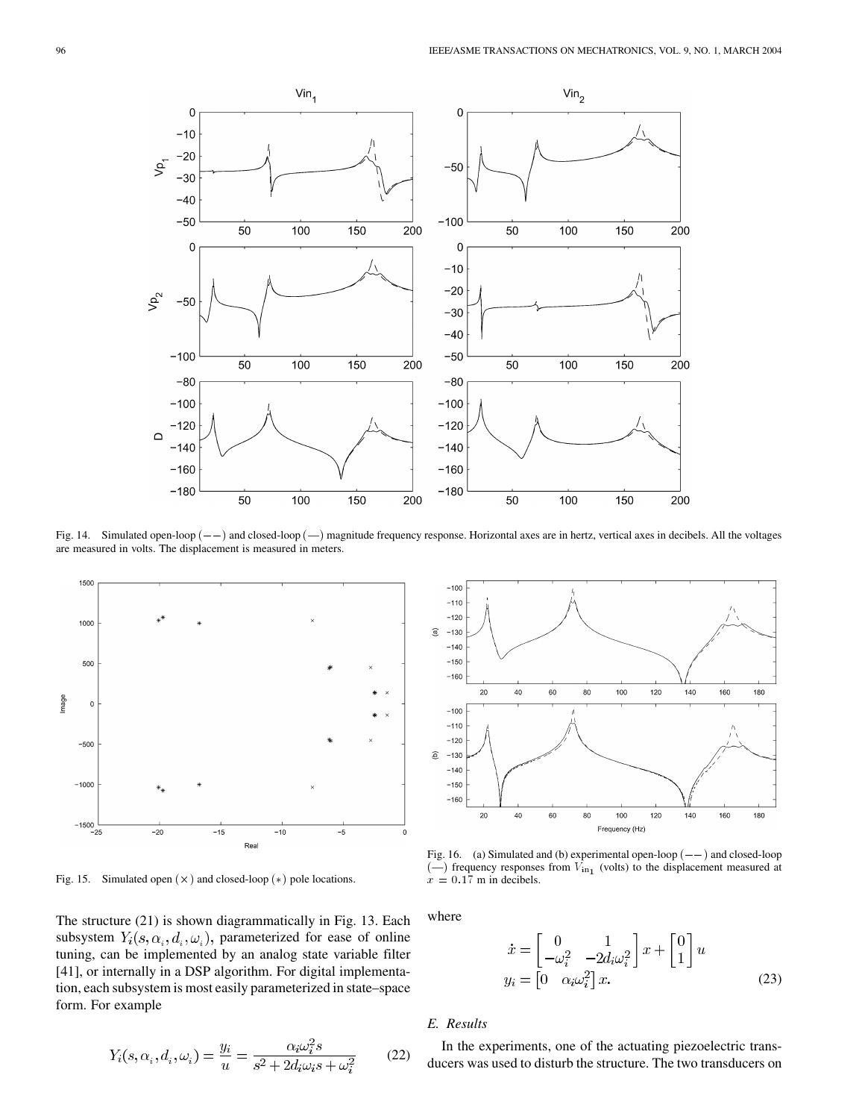

are measured in volts. The displacement is measured in meters.



Fig. 15. Simulated open  $(x)$  and closed-loop  $(*)$  pole locations.



$$
Y_i(s, \alpha_i, d_i, \omega_i) = \frac{y_i}{u} = \frac{\alpha_i \omega_i^2 s}{s^2 + 2d_i \omega_i s + \omega_i^2}
$$
(22)



Fig. 16. (a) Simulated and (b) experimental open-loop  $(--)$  and closed-loop (--) frequency responses from  $V_{\text{in}_1}$  (volts) to the displacement measured at  $x = 0.17$  m in decibels.

where

$$
\begin{aligned}\n\dot{x} &= \begin{bmatrix} 0 & 1 \\
-\omega_i^2 & -2d_i\omega_i^2 \end{bmatrix} x + \begin{bmatrix} 0 \\ 1 \end{bmatrix} u \\
y_i &= \begin{bmatrix} 0 & \alpha_i\omega_i^2 \end{bmatrix} x.\n\end{aligned}
$$
\n(23)

## *E. Results*

In the experiments, one of the actuating piezoelectric transducers was used to disturb the structure. The two transducers on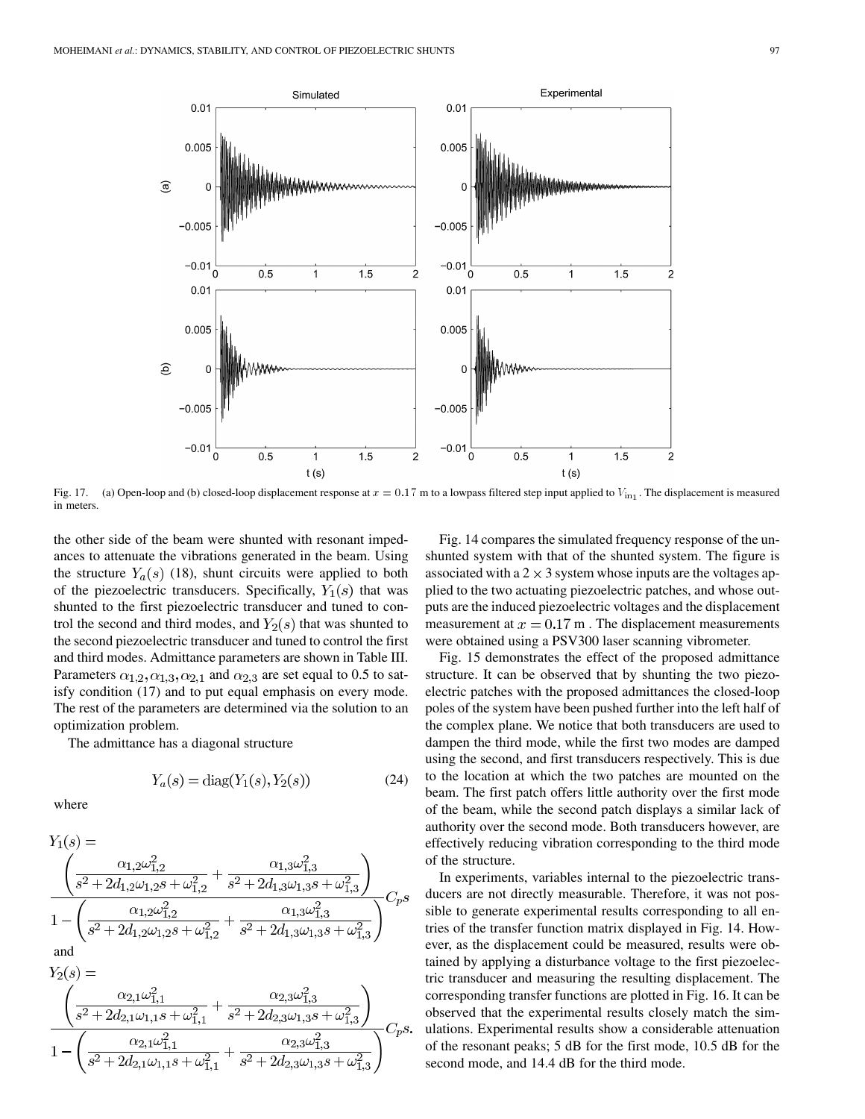

Fig. 17. (a) Open-loop and (b) closed-loop displacement response at  $x = 0.17$  m to a lowpass filtered step input applied to  $V_{\text{in}_1}$ . The displacement is measured in meters.

the other side of the beam were shunted with resonant impedances to attenuate the vibrations generated in the beam. Using the structure  $Y_a(s)$  (18), shunt circuits were applied to both of the piezoelectric transducers. Specifically,  $Y_1(s)$  that was shunted to the first piezoelectric transducer and tuned to control the second and third modes, and  $Y_2(s)$  that was shunted to the second piezoelectric transducer and tuned to control the first and third modes. Admittance parameters are shown in Table III. Parameters  $\alpha_{1,2}, \alpha_{1,3}, \alpha_{2,1}$  and  $\alpha_{2,3}$  are set equal to 0.5 to satisfy condition (17) and to put equal emphasis on every mode. The rest of the parameters are determined via the solution to an optimization problem.

The admittance has a diagonal structure

$$
Y_a(s) = \text{diag}(Y_1(s), Y_2(s))
$$
 (24)

where

$$
\begin{split} &Y_{1}(s)= \\ &\frac{\left(\frac{\alpha_{1,2}\omega_{1,2}^{2}}{s^{2}+2d_{1,2}\omega_{1,2}s+\omega_{1,2}^{2}}+\frac{\alpha_{1,3}\omega_{1,3}^{2}}{s^{2}+2d_{1,3}\omega_{1,3}s+\omega_{1,3}^{2}}\right)}{1-\left(\frac{\alpha_{1,2}\omega_{1,2}^{2}}{s^{2}+2d_{1,2}\omega_{1,2}s+\omega_{1,2}^{2}}+\frac{\alpha_{1,3}\omega_{1,3}^{2}}{s^{2}+2d_{1,3}\omega_{1,3}s+\omega_{1,3}^{2}}\right)}C_{p}s \\ &\text{and} \\ &Y_{2}(s)= \\ &\frac{\left(\frac{\alpha_{2,1}\omega_{1,1}^{2}}{s^{2}+2d_{2,1}\omega_{1,1}s+\omega_{1,1}^{2}}+\frac{\alpha_{2,3}\omega_{1,3}^{2}}{s^{2}+2d_{2,3}\omega_{1,3}s+\omega_{1,3}^{2}}\right)}{1-\left(\frac{\alpha_{2,1}\omega_{1,1}^{2}}{s^{2}+2d_{2,1}\omega_{1,1}s+\omega_{1,1}^{2}}+\frac{\alpha_{2,3}\omega_{1,3}^{2}}{s^{2}+2d_{2,3}\omega_{1,3}s+\omega_{1,3}^{2}}\right)}C_{p}s \end{split}
$$

Fig. 14 compares the simulated frequency response of the unshunted system with that of the shunted system. The figure is associated with a  $2 \times 3$  system whose inputs are the voltages applied to the two actuating piezoelectric patches, and whose outputs are the induced piezoelectric voltages and the displacement measurement at  $x = 0.17$  m. The displacement measurements were obtained using a PSV300 laser scanning vibrometer.

Fig. 15 demonstrates the effect of the proposed admittance structure. It can be observed that by shunting the two piezoelectric patches with the proposed admittances the closed-loop poles of the system have been pushed further into the left half of the complex plane. We notice that both transducers are used to dampen the third mode, while the first two modes are damped using the second, and first transducers respectively. This is due to the location at which the two patches are mounted on the beam. The first patch offers little authority over the first mode of the beam, while the second patch displays a similar lack of authority over the second mode. Both transducers however, are effectively reducing vibration corresponding to the third mode of the structure.

In experiments, variables internal to the piezoelectric transducers are not directly measurable. Therefore, it was not possible to generate experimental results corresponding to all entries of the transfer function matrix displayed in Fig. 14. However, as the displacement could be measured, results were obtained by applying a disturbance voltage to the first piezoelectric transducer and measuring the resulting displacement. The corresponding transfer functions are plotted in Fig. 16. It can be observed that the experimental results closely match the simulations. Experimental results show a considerable attenuation of the resonant peaks; 5 dB for the first mode, 10.5 dB for the second mode, and 14.4 dB for the third mode.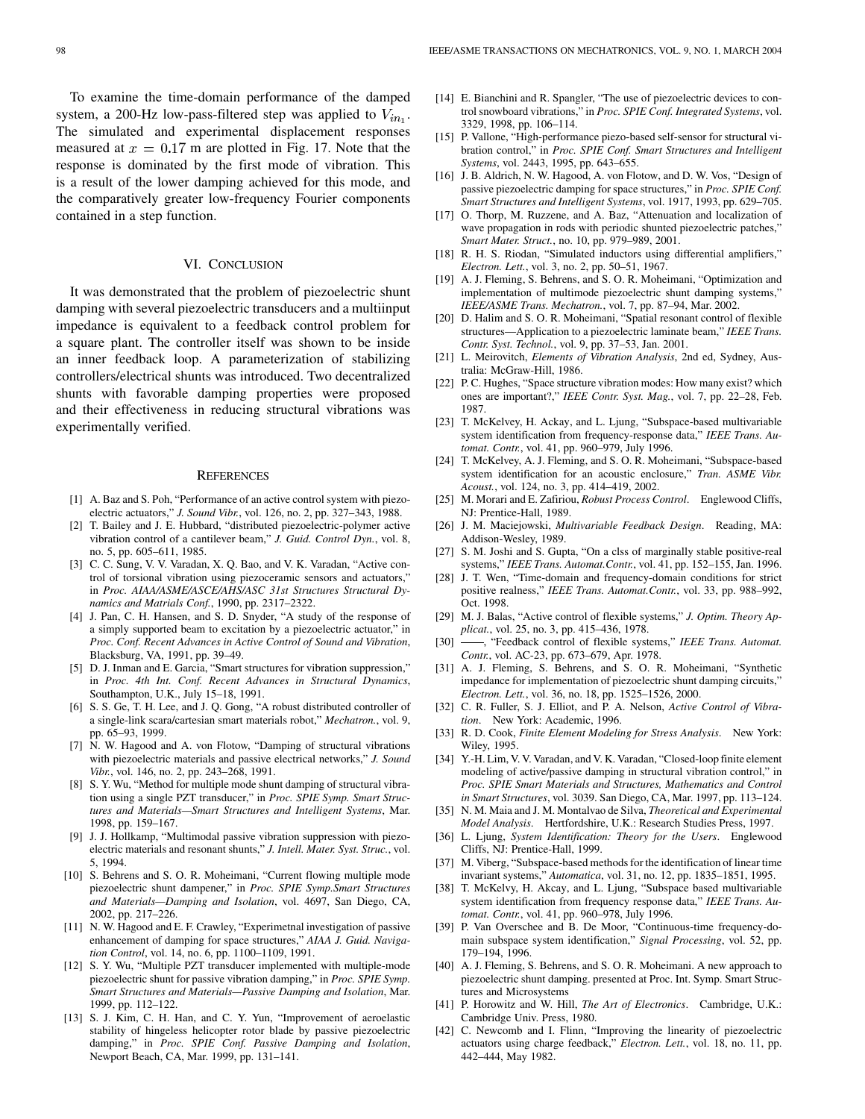<span id="page-11-0"></span>To examine the time-domain performance of the damped system, a 200-Hz low-pass-filtered step was applied to  $V_{in_1}$ . The simulated and experimental displacement responses measured at  $x = 0.17$  m are plotted in Fig. 17. Note that the response is dominated by the first mode of vibration. This is a result of the lower damping achieved for this mode, and the comparatively greater low-frequency Fourier components contained in a step function.

# VI. CONCLUSION

It was demonstrated that the problem of piezoelectric shunt damping with several piezoelectric transducers and a multiinput impedance is equivalent to a feedback control problem for a square plant. The controller itself was shown to be inside an inner feedback loop. A parameterization of stabilizing controllers/electrical shunts was introduced. Two decentralized shunts with favorable damping properties were proposed and their effectiveness in reducing structural vibrations was experimentally verified.

#### **REFERENCES**

- [1] A. Baz and S. Poh, "Performance of an active control system with piezoelectric actuators," *J. Sound Vibr.*, vol. 126, no. 2, pp. 327–343, 1988.
- [2] T. Bailey and J. E. Hubbard, "distributed piezoelectric-polymer active vibration control of a cantilever beam," *J. Guid. Control Dyn.*, vol. 8, no. 5, pp. 605–611, 1985.
- [3] C. C. Sung, V. V. Varadan, X. Q. Bao, and V. K. Varadan, "Active control of torsional vibration using piezoceramic sensors and actuators," in *Proc. AIAA/ASME/ASCE/AHS/ASC 31st Structures Structural Dynamics and Matrials Conf.*, 1990, pp. 2317–2322.
- [4] J. Pan, C. H. Hansen, and S. D. Snyder, "A study of the response of a simply supported beam to excitation by a piezoelectric actuator," in *Proc. Conf. Recent Advances in Active Control of Sound and Vibration*, Blacksburg, VA, 1991, pp. 39–49.
- [5] D. J. Inman and E. Garcia, "Smart structures for vibration suppression," in *Proc. 4th Int. Conf. Recent Advances in Structural Dynamics*, Southampton, U.K., July 15–18, 1991.
- [6] S. S. Ge, T. H. Lee, and J. Q. Gong, "A robust distributed controller of a single-link scara/cartesian smart materials robot," *Mechatron.*, vol. 9, pp. 65–93, 1999.
- [7] N. W. Hagood and A. von Flotow, "Damping of structural vibrations with piezoelectric materials and passive electrical networks," *J. Sound Vibr.*, vol. 146, no. 2, pp. 243–268, 1991.
- [8] S. Y. Wu, "Method for multiple mode shunt damping of structural vibration using a single PZT transducer," in *Proc. SPIE Symp. Smart Structures and Materials—Smart Structures and Intelligent Systems*, Mar. 1998, pp. 159–167.
- [9] J. J. Hollkamp, "Multimodal passive vibration suppression with piezoelectric materials and resonant shunts," *J. Intell. Mater. Syst. Struc.*, vol. 5, 1994.
- [10] S. Behrens and S. O. R. Moheimani, "Current flowing multiple mode piezoelectric shunt dampener," in *Proc. SPIE Symp.Smart Structures and Materials—Damping and Isolation*, vol. 4697, San Diego, CA, 2002, pp. 217–226.
- [11] N. W. Hagood and E. F. Crawley, "Experimetnal investigation of passive enhancement of damping for space structures," *AIAA J. Guid. Navigation Control*, vol. 14, no. 6, pp. 1100–1109, 1991.
- [12] S. Y. Wu, "Multiple PZT transducer implemented with multiple-mode piezoelectric shunt for passive vibration damping," in *Proc. SPIE Symp. Smart Structures and Materials—Passive Damping and Isolation*, Mar. 1999, pp. 112–122.
- [13] S. J. Kim, C. H. Han, and C. Y. Yun, "Improvement of aeroelastic stability of hingeless helicopter rotor blade by passive piezoelectric damping," in *Proc. SPIE Conf. Passive Damping and Isolation*, Newport Beach, CA, Mar. 1999, pp. 131–141.
- [14] E. Bianchini and R. Spangler, "The use of piezoelectric devices to control snowboard vibrations," in *Proc. SPIE Conf. Integrated Systems*, vol. 3329, 1998, pp. 106–114.
- [15] P. Vallone, "High-performance piezo-based self-sensor for structural vibration control," in *Proc. SPIE Conf. Smart Structures and Intelligent Systems*, vol. 2443, 1995, pp. 643–655.
- [16] J. B. Aldrich, N. W. Hagood, A. von Flotow, and D. W. Vos, "Design of passive piezoelectric damping for space structures," in *Proc. SPIE Conf. Smart Structures and Intelligent Systems*, vol. 1917, 1993, pp. 629–705.
- [17] O. Thorp, M. Ruzzene, and A. Baz, "Attenuation and localization of wave propagation in rods with periodic shunted piezoelectric patches," *Smart Mater. Struct.*, no. 10, pp. 979–989, 2001.
- [18] R. H. S. Riodan, "Simulated inductors using differential amplifiers," *Electron. Lett.*, vol. 3, no. 2, pp. 50–51, 1967.
- [19] A. J. Fleming, S. Behrens, and S. O. R. Moheimani, "Optimization and implementation of multimode piezoelectric shunt damping systems," *IEEE/ASME Trans. Mechatron.*, vol. 7, pp. 87–94, Mar. 2002.
- [20] D. Halim and S. O. R. Moheimani, "Spatial resonant control of flexible structures—Application to a piezoelectric laminate beam," *IEEE Trans. Contr. Syst. Technol.*, vol. 9, pp. 37–53, Jan. 2001.
- [21] L. Meirovitch, *Elements of Vibration Analysis*, 2nd ed, Sydney, Australia: McGraw-Hill, 1986.
- [22] P. C. Hughes, "Space structure vibration modes: How many exist? which ones are important?," *IEEE Contr. Syst. Mag.*, vol. 7, pp. 22–28, Feb. 1987.
- [23] T. McKelvey, H. Ackay, and L. Ljung, "Subspace-based multivariable system identification from frequency-response data," *IEEE Trans. Automat. Contr.*, vol. 41, pp. 960–979, July 1996.
- [24] T. McKelvey, A. J. Fleming, and S. O. R. Moheimani, "Subspace-based system identification for an acoustic enclosure," *Tran. ASME Vibr. Acoust.*, vol. 124, no. 3, pp. 414–419, 2002.
- [25] M. Morari and E. Zafiriou, *Robust Process Control*. Englewood Cliffs, NJ: Prentice-Hall, 1989.
- [26] J. M. Maciejowski, *Multivariable Feedback Design*. Reading, MA: Addison-Wesley, 1989.
- [27] S. M. Joshi and S. Gupta, "On a clss of marginally stable positive-real systems," *IEEE Trans. Automat.Contr.*, vol. 41, pp. 152–155, Jan. 1996.
- [28] J. T. Wen, "Time-domain and frequency-domain conditions for strict positive realness," *IEEE Trans. Automat.Contr.*, vol. 33, pp. 988–992, Oct. 1998.
- [29] M. J. Balas, "Active control of flexible systems," *J. Optim. Theory Applicat.*, vol. 25, no. 3, pp. 415–436, 1978.
- [30] -, "Feedback control of flexible systems," IEEE Trans. Automat. *Contr.*, vol. AC-23, pp. 673–679, Apr. 1978.
- [31] A. J. Fleming, S. Behrens, and S. O. R. Moheimani, "Synthetic impedance for implementation of piezoelectric shunt damping circuits," *Electron. Lett.*, vol. 36, no. 18, pp. 1525–1526, 2000.
- [32] C. R. Fuller, S. J. Elliot, and P. A. Nelson, *Active Control of Vibration*. New York: Academic, 1996.
- [33] R. D. Cook, *Finite Element Modeling for Stress Analysis*. New York: Wiley, 1995.
- [34] Y.-H. Lim, V. V. Varadan, and V. K. Varadan, "Closed-loop finite element modeling of active/passive damping in structural vibration control," in *Proc. SPIE Smart Materials and Structures, Mathematics and Control in Smart Structures*, vol. 3039. San Diego, CA, Mar. 1997, pp. 113–124.
- [35] N. M. Maia and J. M. Montalvao de Silva, *Theoretical and Experimental Model Analysis*. Hertfordshire, U.K.: Research Studies Press, 1997.
- [36] L. Ljung, *System Identification: Theory for the Users*. Englewood Cliffs, NJ: Prentice-Hall, 1999.
- [37] M. Viberg, "Subspace-based methods for the identification of linear time invariant systems," *Automatica*, vol. 31, no. 12, pp. 1835–1851, 1995.
- [38] T. McKelvy, H. Akcay, and L. Ljung, "Subspace based multivariable system identification from frequency response data," *IEEE Trans. Automat. Contr.*, vol. 41, pp. 960–978, July 1996.
- [39] P. Van Overschee and B. De Moor, "Continuous-time frequency-domain subspace system identification," *Signal Processing*, vol. 52, pp. 179–194, 1996.
- [40] A. J. Fleming, S. Behrens, and S. O. R. Moheimani. A new approach to piezoelectric shunt damping. presented at Proc. Int. Symp. Smart Structures and Microsystems
- [41] P. Horowitz and W. Hill, *The Art of Electronics*. Cambridge, U.K.: Cambridge Univ. Press, 1980.
- [42] C. Newcomb and I. Flinn, "Improving the linearity of piezoelectric actuators using charge feedback," *Electron. Lett.*, vol. 18, no. 11, pp. 442–444, May 1982.